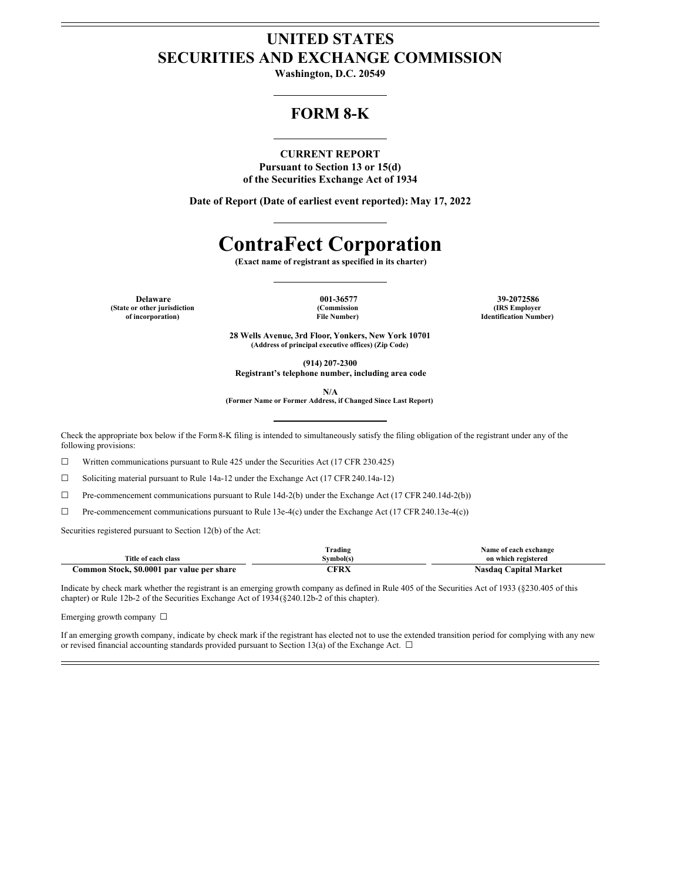## **UNITED STATES SECURITIES AND EXCHANGE COMMISSION**

**Washington, D.C. 20549**

### **FORM 8-K**

### **CURRENT REPORT**

**Pursuant to Section 13 or 15(d) of the Securities Exchange Act of 1934**

**Date of Report (Date of earliest event reported): May 17, 2022**

# **ContraFect Corporation**

**(Exact name of registrant as specified in its charter)**

**(State or other jurisdiction of incorporation)**

**(Commission File Number)**

**Delaware 001-36577 39-2072586 (IRS Employer Identification Number)**

> **28 Wells Avenue, 3rd Floor, Yonkers, New York 10701 (Address of principal executive offices) (Zip Code)**

> > **(914) 207-2300**

**Registrant's telephone number, including area code**

**N/A**

**(Former Name or Former Address, if Changed Since Last Report)**

Check the appropriate box below if the Form8-K filing is intended to simultaneously satisfy the filing obligation of the registrant under any of the following provisions:

☐ Written communications pursuant to Rule 425 under the Securities Act (17 CFR 230.425)

☐ Soliciting material pursuant to Rule 14a-12 under the Exchange Act (17 CFR 240.14a-12)

☐ Pre-commencement communications pursuant to Rule 14d-2(b) under the Exchange Act (17 CFR 240.14d-2(b))

☐ Pre-commencement communications pursuant to Rule 13e-4(c) under the Exchange Act (17 CFR 240.13e-4(c))

Securities registered pursuant to Section 12(b) of the Act:

|                                                     | $\sim$<br>Trading | Name of each exchange           |
|-----------------------------------------------------|-------------------|---------------------------------|
| Title of each class                                 | svmbol(s          | on which registered             |
| \$0.0001<br>Stock.<br>par value per share<br>`ommon | :FRX              | <b>Capital Market</b><br>Nasdao |

Indicate by check mark whether the registrant is an emerging growth company as defined in Rule 405 of the Securities Act of 1933 (§230.405 of this chapter) or Rule 12b-2 of the Securities Exchange Act of 1934(§240.12b-2 of this chapter).

Emerging growth company ☐

If an emerging growth company, indicate by check mark if the registrant has elected not to use the extended transition period for complying with any new or revised financial accounting standards provided pursuant to Section 13(a) of the Exchange Act.  $\Box$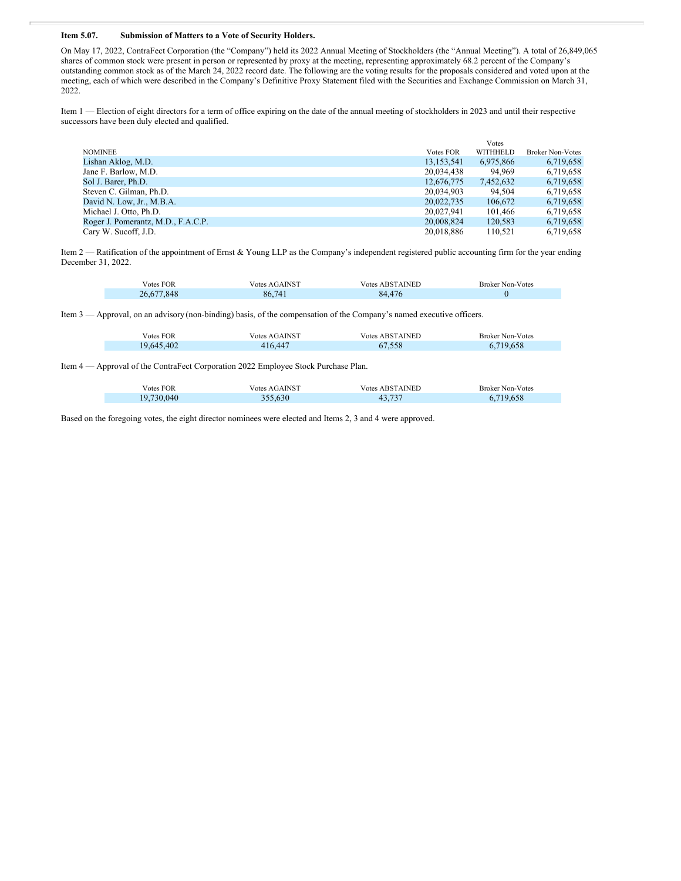### **Item 5.07. Submission of Matters to a Vote of Security Holders.**

On May 17, 2022, ContraFect Corporation (the "Company") held its 2022 Annual Meeting of Stockholders (the "Annual Meeting"). A total of 26,849,065 shares of common stock were present in person or represented by proxy at the meeting, representing approximately 68.2 percent of the Company's outstanding common stock as of the March 24, 2022 record date. The following are the voting results for the proposals considered and voted upon at the meeting, each of which were described in the Company's Definitive Proxy Statement filed with the Securities and Exchange Commission on March 31, 2022.

Item 1 — Election of eight directors for a term of office expiring on the date of the annual meeting of stockholders in 2023 and until their respective successors have been duly elected and qualified.

|                  | <b>Votes</b> |                         |
|------------------|--------------|-------------------------|
| <b>Votes FOR</b> | WITHHELD     | <b>Broker Non-Votes</b> |
| 13, 153, 541     | 6.975.866    | 6,719,658               |
| 20,034,438       | 94.969       | 6,719,658               |
| 12,676,775       | 7,452,632    | 6,719,658               |
| 20.034.903       | 94.504       | 6.719.658               |
| 20,022,735       | 106,672      | 6,719,658               |
| 20.027.941       | 101.466      | 6.719.658               |
| 20,008,824       | 120.583      | 6,719,658               |
| 20.018.886       | 110.521      | 6,719,658               |
|                  |              |                         |

Item 2 — Ratification of the appointment of Ernst & Young LLP as the Company's independent registered public accounting firm for the year ending December 31, 2022.

| <b>Votes FOR</b> | Votes AGAINST | <b>Votes ABSTAINED</b> | <b>Broker Non-Votes</b> |
|------------------|---------------|------------------------|-------------------------|
| .848<br>26.67    | 86,741        | A7I<br>84              |                         |

Item 3 — Approval, on an advisory (non-binding) basis, of the compensation of the Company's named executive officers.

| Votes FOR  | Votes AGAINST | <b>Votes ABSTAINED</b> | <b>Broker Non-Votes</b> |
|------------|---------------|------------------------|-------------------------|
| 19,645,402 | 416,447       | 67.558                 | 719.658                 |

Item 4 — Approval of the ContraFect Corporation 2022 Employee Stock Purchase Plan.

| Votes FOR  | Votes AGAINST | <b>Votes ABSTAINED</b>         | <b>Broker Non-Votes</b> |
|------------|---------------|--------------------------------|-------------------------|
| 19,730,040 | 355.630       | $\overline{a}$<br>43.<br>TJ.IJ | 719.658                 |

Based on the foregoing votes, the eight director nominees were elected and Items 2, 3 and 4 were approved.